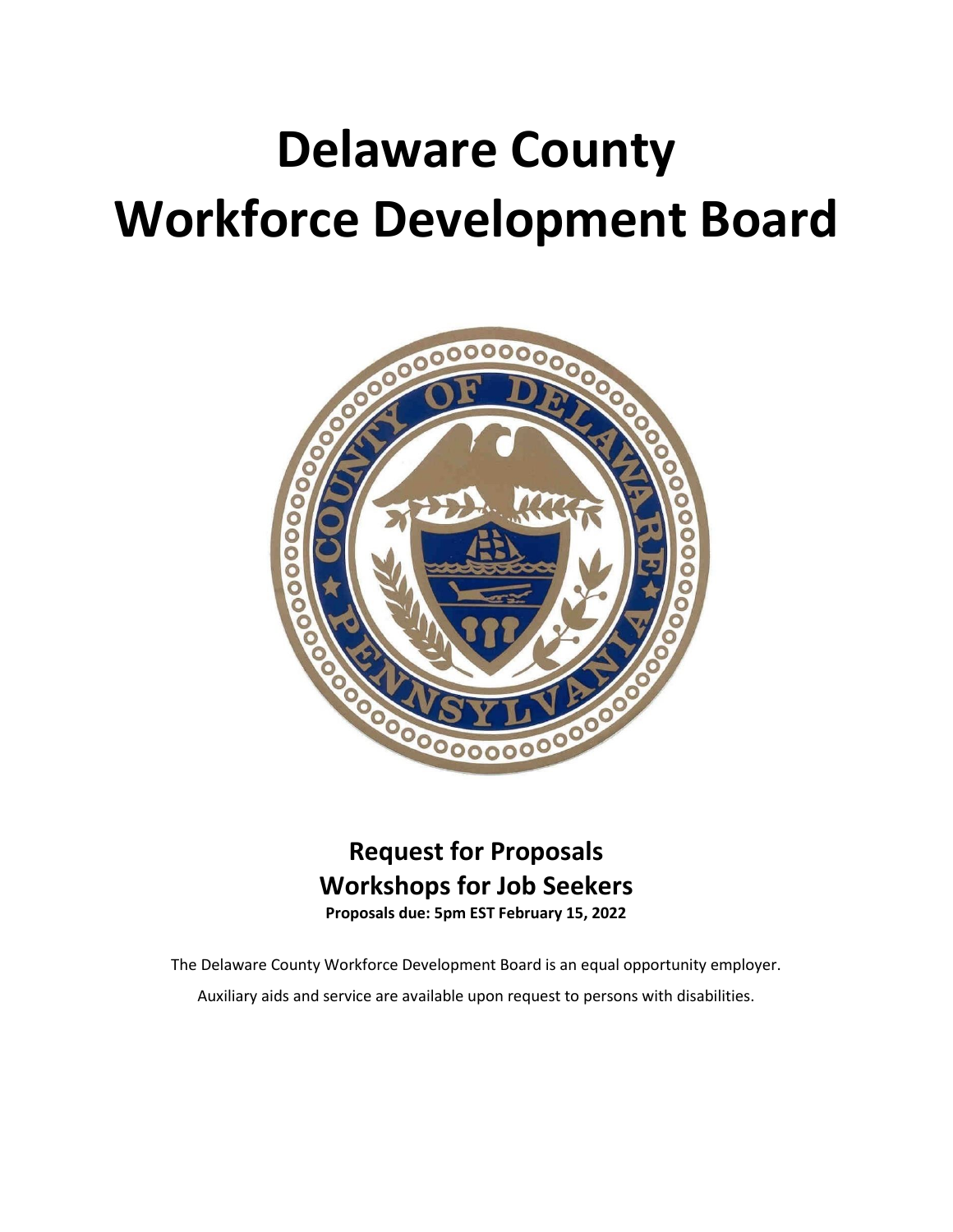# **Delaware County Workforce Development Board**



## **Request for Proposals Workshops for Job Seekers**

**Proposals due: 5pm EST February 15, 2022**

The Delaware County Workforce Development Board is an equal opportunity employer. Auxiliary aids and service are available upon request to persons with disabilities.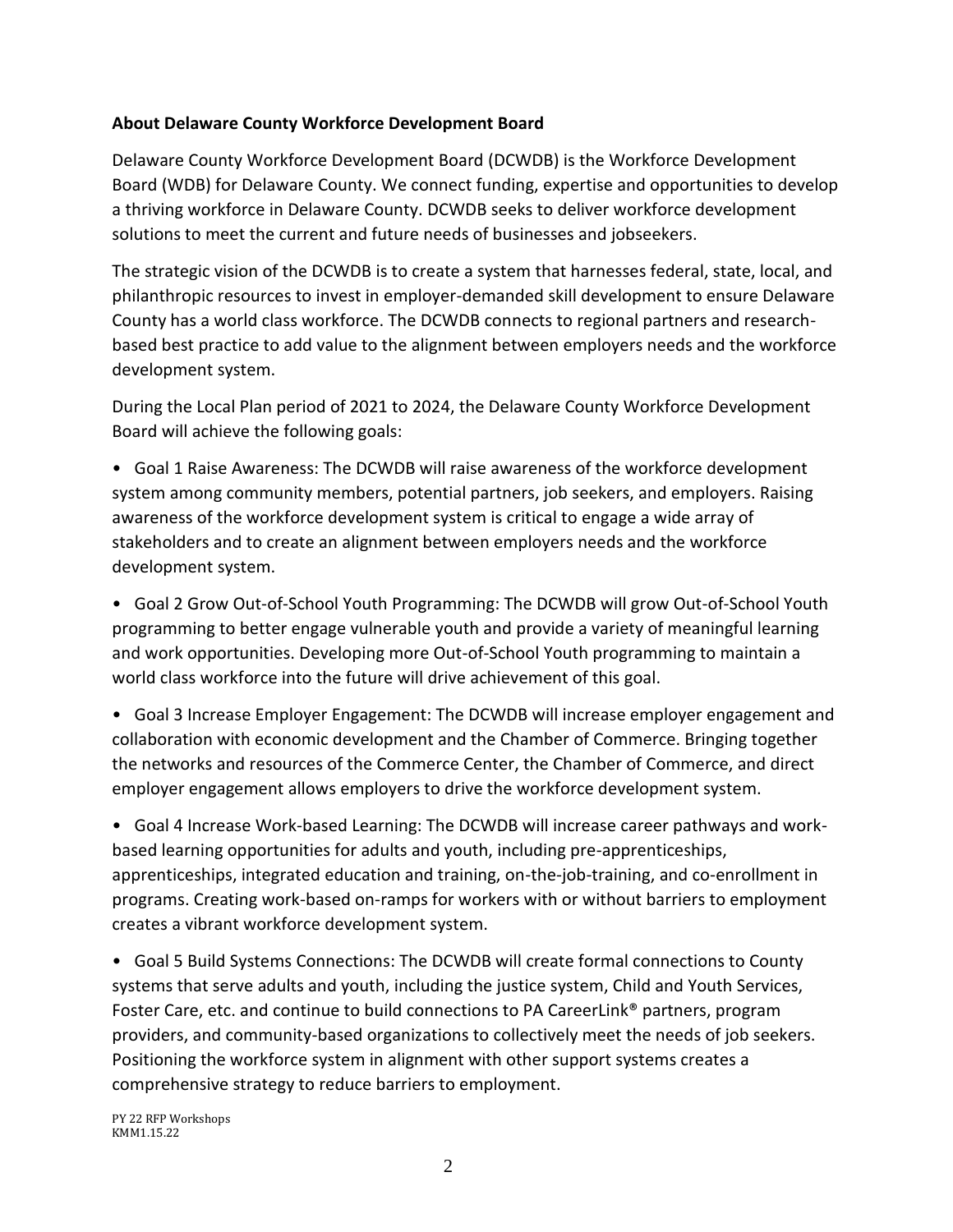#### **About Delaware County Workforce Development Board**

Delaware County Workforce Development Board (DCWDB) is the Workforce Development Board (WDB) for Delaware County. We connect funding, expertise and opportunities to develop a thriving workforce in Delaware County. DCWDB seeks to deliver workforce development solutions to meet the current and future needs of businesses and jobseekers.

The strategic vision of the DCWDB is to create a system that harnesses federal, state, local, and philanthropic resources to invest in employer-demanded skill development to ensure Delaware County has a world class workforce. The DCWDB connects to regional partners and researchbased best practice to add value to the alignment between employers needs and the workforce development system.

During the Local Plan period of 2021 to 2024, the Delaware County Workforce Development Board will achieve the following goals:

• Goal 1 Raise Awareness: The DCWDB will raise awareness of the workforce development system among community members, potential partners, job seekers, and employers. Raising awareness of the workforce development system is critical to engage a wide array of stakeholders and to create an alignment between employers needs and the workforce development system.

• Goal 2 Grow Out-of-School Youth Programming: The DCWDB will grow Out-of-School Youth programming to better engage vulnerable youth and provide a variety of meaningful learning and work opportunities. Developing more Out-of-School Youth programming to maintain a world class workforce into the future will drive achievement of this goal.

• Goal 3 Increase Employer Engagement: The DCWDB will increase employer engagement and collaboration with economic development and the Chamber of Commerce. Bringing together the networks and resources of the Commerce Center, the Chamber of Commerce, and direct employer engagement allows employers to drive the workforce development system.

• Goal 4 Increase Work-based Learning: The DCWDB will increase career pathways and workbased learning opportunities for adults and youth, including pre-apprenticeships, apprenticeships, integrated education and training, on-the-job-training, and co-enrollment in programs. Creating work-based on-ramps for workers with or without barriers to employment creates a vibrant workforce development system.

• Goal 5 Build Systems Connections: The DCWDB will create formal connections to County systems that serve adults and youth, including the justice system, Child and Youth Services, Foster Care, etc. and continue to build connections to PA CareerLink® partners, program providers, and community-based organizations to collectively meet the needs of job seekers. Positioning the workforce system in alignment with other support systems creates a comprehensive strategy to reduce barriers to employment.

PY 22 RFP Workshops KMM1.15.22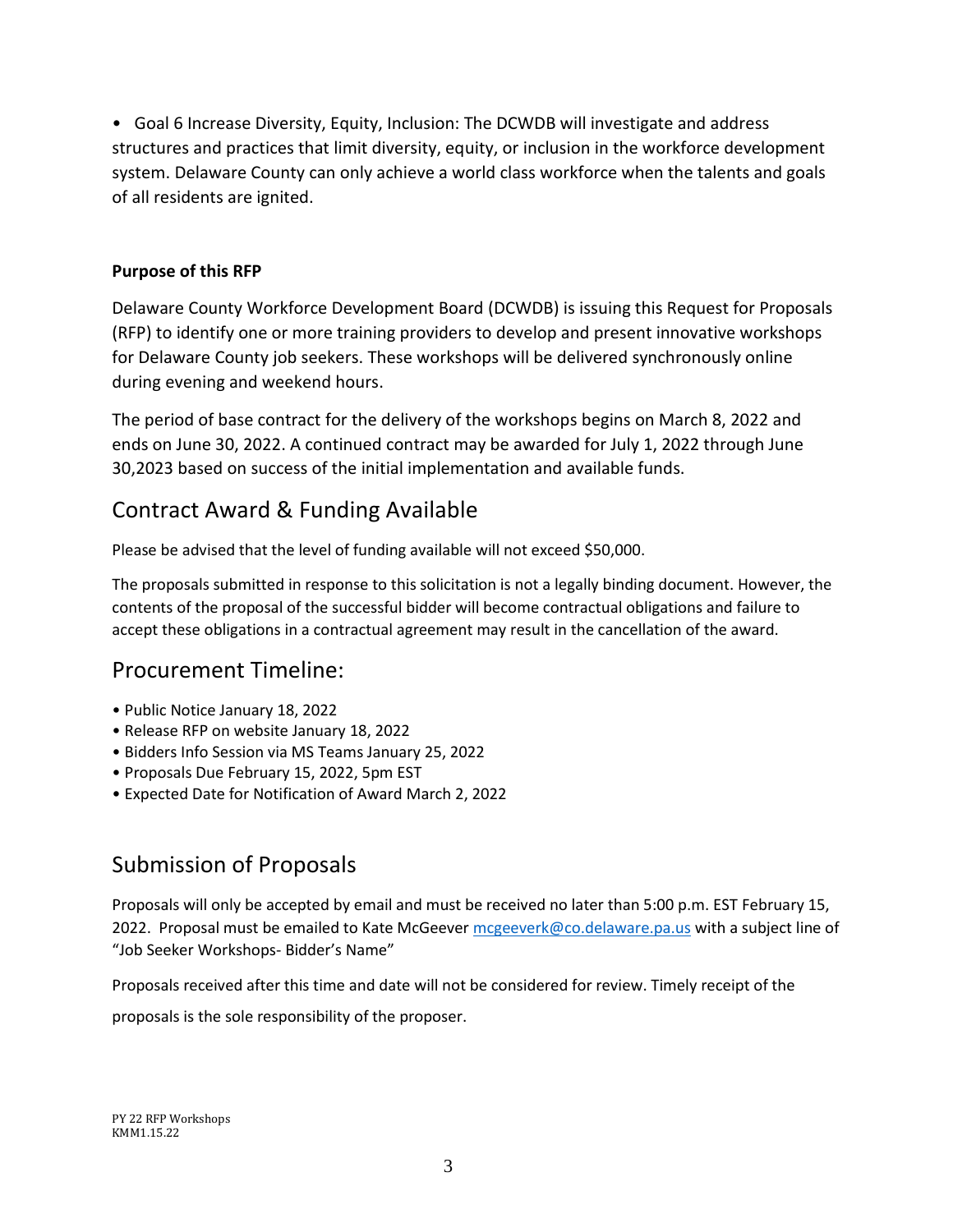• Goal 6 Increase Diversity, Equity, Inclusion: The DCWDB will investigate and address structures and practices that limit diversity, equity, or inclusion in the workforce development system. Delaware County can only achieve a world class workforce when the talents and goals of all residents are ignited.

#### **Purpose of this RFP**

Delaware County Workforce Development Board (DCWDB) is issuing this Request for Proposals (RFP) to identify one or more training providers to develop and present innovative workshops for Delaware County job seekers. These workshops will be delivered synchronously online during evening and weekend hours.

The period of base contract for the delivery of the workshops begins on March 8, 2022 and ends on June 30, 2022. A continued contract may be awarded for July 1, 2022 through June 30,2023 based on success of the initial implementation and available funds.

## Contract Award & Funding Available

Please be advised that the level of funding available will not exceed \$50,000.

The proposals submitted in response to this solicitation is not a legally binding document. However, the contents of the proposal of the successful bidder will become contractual obligations and failure to accept these obligations in a contractual agreement may result in the cancellation of the award.

## Procurement Timeline:

- Public Notice January 18, 2022
- Release RFP on website January 18, 2022
- Bidders Info Session via MS Teams January 25, 2022
- Proposals Due February 15, 2022, 5pm EST
- Expected Date for Notification of Award March 2, 2022

## Submission of Proposals

Proposals will only be accepted by email and must be received no later than 5:00 p.m. EST February 15, 2022. Proposal must be emailed to Kate McGeever [mcgeeverk@co.delaware.pa.us](mailto:mcgeeverk@co.delaware.pa.us) with a subject line of "Job Seeker Workshops- Bidder's Name"

Proposals received after this time and date will not be considered for review. Timely receipt of the

proposals is the sole responsibility of the proposer.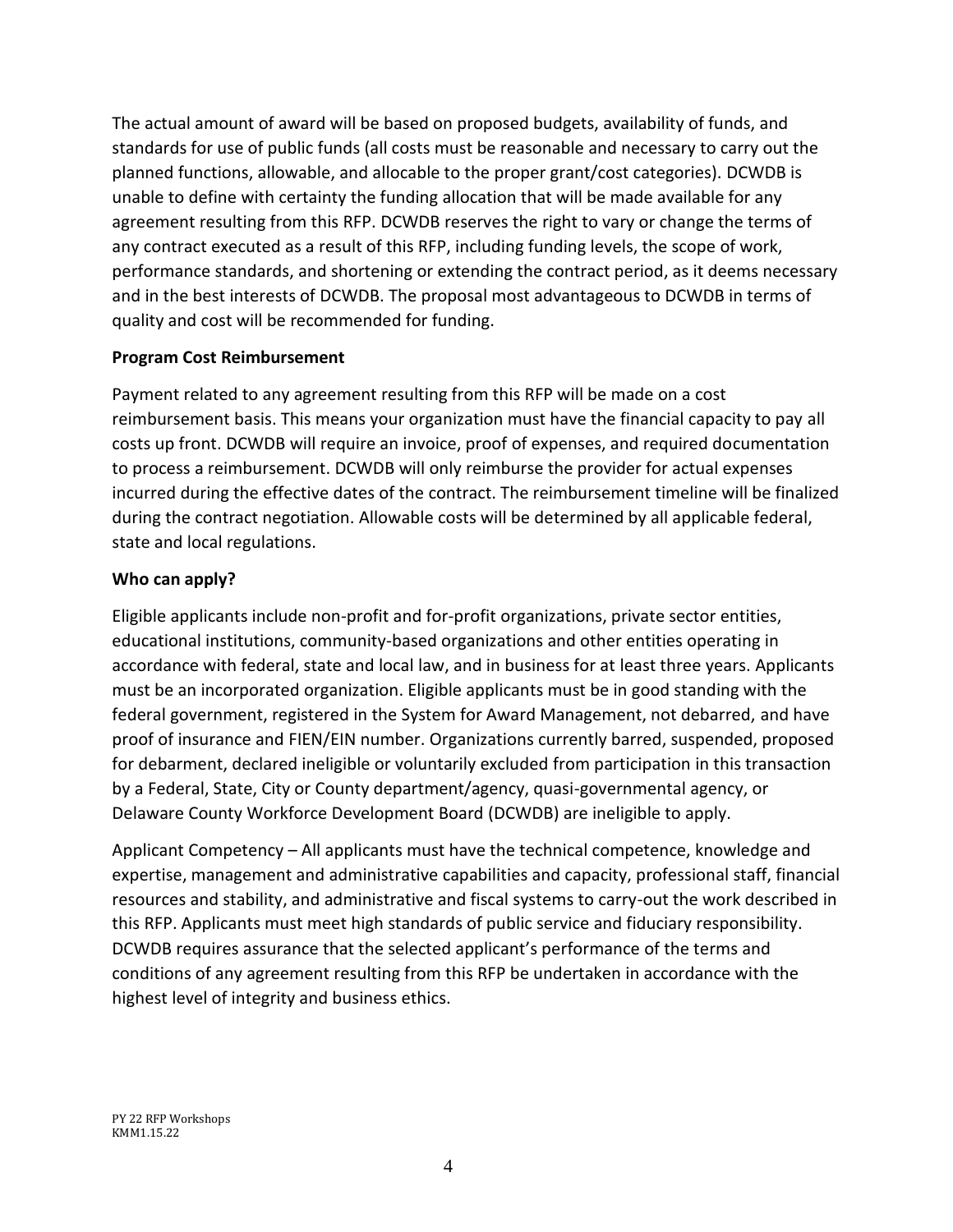The actual amount of award will be based on proposed budgets, availability of funds, and standards for use of public funds (all costs must be reasonable and necessary to carry out the planned functions, allowable, and allocable to the proper grant/cost categories). DCWDB is unable to define with certainty the funding allocation that will be made available for any agreement resulting from this RFP. DCWDB reserves the right to vary or change the terms of any contract executed as a result of this RFP, including funding levels, the scope of work, performance standards, and shortening or extending the contract period, as it deems necessary and in the best interests of DCWDB. The proposal most advantageous to DCWDB in terms of quality and cost will be recommended for funding.

#### **Program Cost Reimbursement**

Payment related to any agreement resulting from this RFP will be made on a cost reimbursement basis. This means your organization must have the financial capacity to pay all costs up front. DCWDB will require an invoice, proof of expenses, and required documentation to process a reimbursement. DCWDB will only reimburse the provider for actual expenses incurred during the effective dates of the contract. The reimbursement timeline will be finalized during the contract negotiation. Allowable costs will be determined by all applicable federal, state and local regulations.

#### **Who can apply?**

Eligible applicants include non-profit and for-profit organizations, private sector entities, educational institutions, community-based organizations and other entities operating in accordance with federal, state and local law, and in business for at least three years. Applicants must be an incorporated organization. Eligible applicants must be in good standing with the federal government, registered in the System for Award Management, not debarred, and have proof of insurance and FIEN/EIN number. Organizations currently barred, suspended, proposed for debarment, declared ineligible or voluntarily excluded from participation in this transaction by a Federal, State, City or County department/agency, quasi-governmental agency, or Delaware County Workforce Development Board (DCWDB) are ineligible to apply.

Applicant Competency – All applicants must have the technical competence, knowledge and expertise, management and administrative capabilities and capacity, professional staff, financial resources and stability, and administrative and fiscal systems to carry-out the work described in this RFP. Applicants must meet high standards of public service and fiduciary responsibility. DCWDB requires assurance that the selected applicant's performance of the terms and conditions of any agreement resulting from this RFP be undertaken in accordance with the highest level of integrity and business ethics.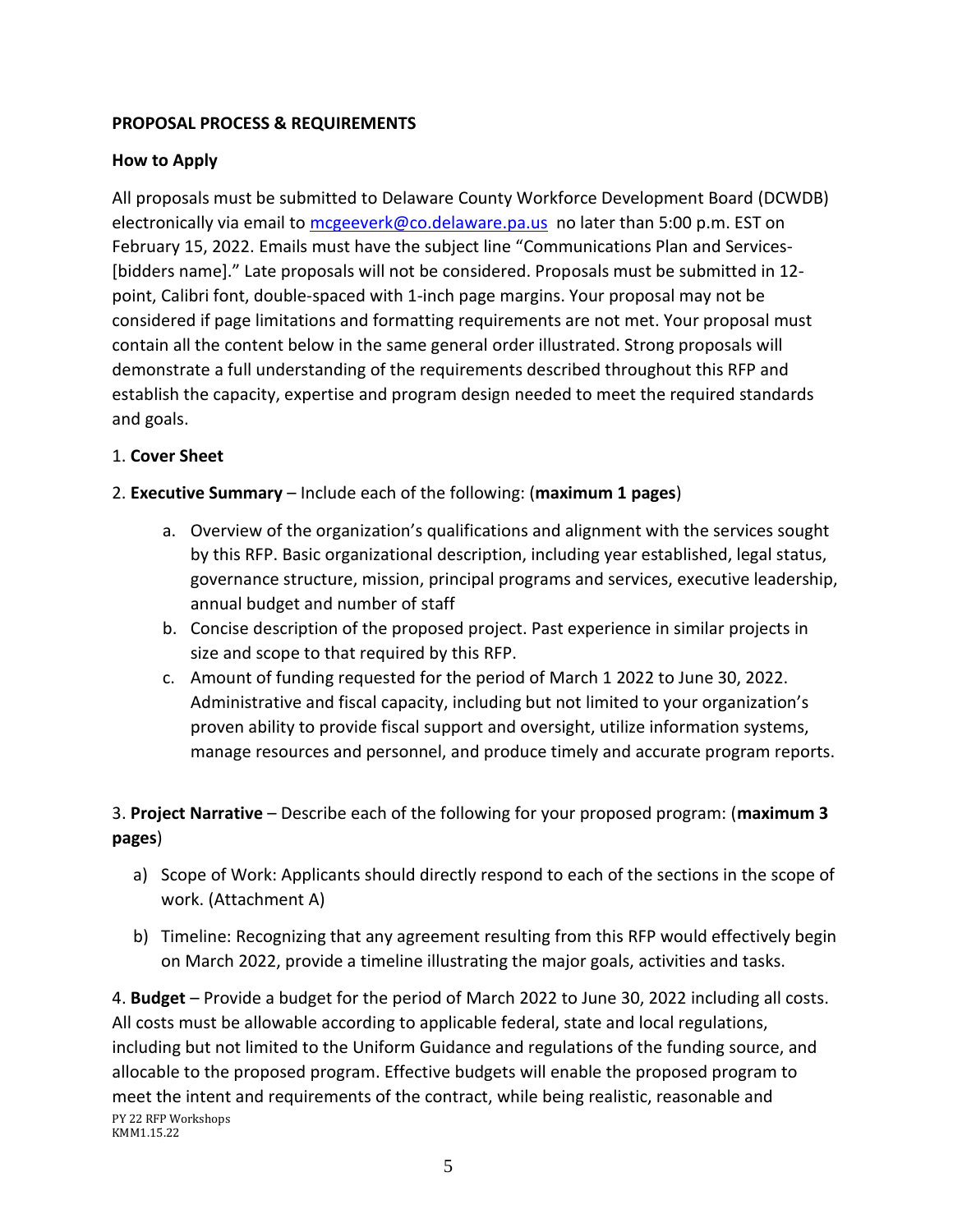#### **PROPOSAL PROCESS & REQUIREMENTS**

#### **How to Apply**

All proposals must be submitted to Delaware County Workforce Development Board (DCWDB) electronically via email to [mcgeeverk@co.delaware.pa.us](mailto:mcgeeverk@co.delaware.pa.us) no later than 5:00 p.m. EST on February 15, 2022. Emails must have the subject line "Communications Plan and Services- [bidders name]." Late proposals will not be considered. Proposals must be submitted in 12 point, Calibri font, double-spaced with 1-inch page margins. Your proposal may not be considered if page limitations and formatting requirements are not met. Your proposal must contain all the content below in the same general order illustrated. Strong proposals will demonstrate a full understanding of the requirements described throughout this RFP and establish the capacity, expertise and program design needed to meet the required standards and goals.

#### 1. **Cover Sheet**

#### 2. **Executive Summary** – Include each of the following: (**maximum 1 pages**)

- a. Overview of the organization's qualifications and alignment with the services sought by this RFP. Basic organizational description, including year established, legal status, governance structure, mission, principal programs and services, executive leadership, annual budget and number of staff
- b. Concise description of the proposed project. Past experience in similar projects in size and scope to that required by this RFP.
- c. Amount of funding requested for the period of March 1 2022 to June 30, 2022. Administrative and fiscal capacity, including but not limited to your organization's proven ability to provide fiscal support and oversight, utilize information systems, manage resources and personnel, and produce timely and accurate program reports.

3. **Project Narrative** – Describe each of the following for your proposed program: (**maximum 3 pages**)

- a) Scope of Work: Applicants should directly respond to each of the sections in the scope of work. (Attachment A)
- b) Timeline: Recognizing that any agreement resulting from this RFP would effectively begin on March 2022, provide a timeline illustrating the major goals, activities and tasks.

PY 22 RFP Workshops KMM1.15.22 4. **Budget** – Provide a budget for the period of March 2022 to June 30, 2022 including all costs. All costs must be allowable according to applicable federal, state and local regulations, including but not limited to the Uniform Guidance and regulations of the funding source, and allocable to the proposed program. Effective budgets will enable the proposed program to meet the intent and requirements of the contract, while being realistic, reasonable and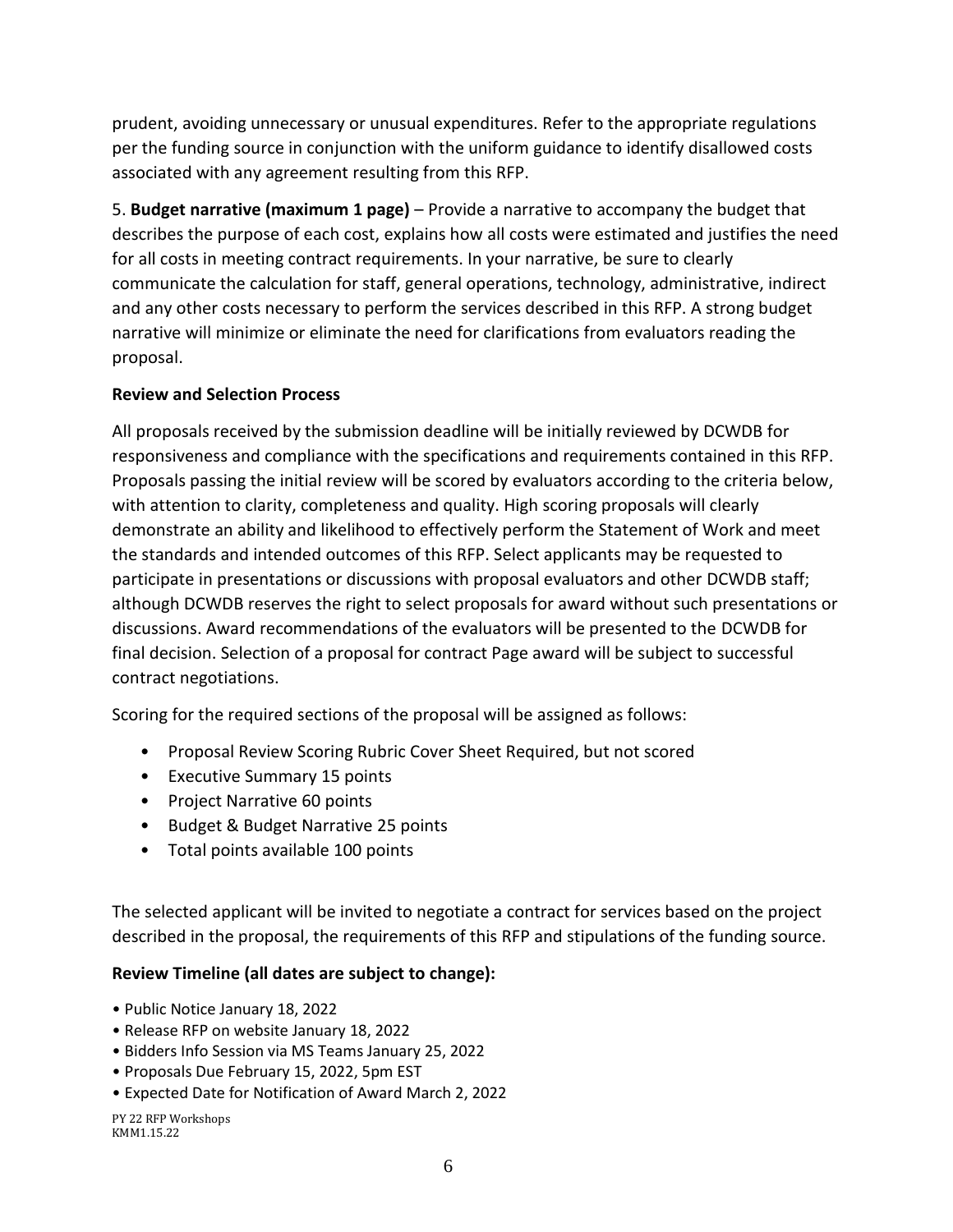prudent, avoiding unnecessary or unusual expenditures. Refer to the appropriate regulations per the funding source in conjunction with the uniform guidance to identify disallowed costs associated with any agreement resulting from this RFP.

5. **Budget narrative (maximum 1 page)** – Provide a narrative to accompany the budget that describes the purpose of each cost, explains how all costs were estimated and justifies the need for all costs in meeting contract requirements. In your narrative, be sure to clearly communicate the calculation for staff, general operations, technology, administrative, indirect and any other costs necessary to perform the services described in this RFP. A strong budget narrative will minimize or eliminate the need for clarifications from evaluators reading the proposal.

#### **Review and Selection Process**

All proposals received by the submission deadline will be initially reviewed by DCWDB for responsiveness and compliance with the specifications and requirements contained in this RFP. Proposals passing the initial review will be scored by evaluators according to the criteria below, with attention to clarity, completeness and quality. High scoring proposals will clearly demonstrate an ability and likelihood to effectively perform the Statement of Work and meet the standards and intended outcomes of this RFP. Select applicants may be requested to participate in presentations or discussions with proposal evaluators and other DCWDB staff; although DCWDB reserves the right to select proposals for award without such presentations or discussions. Award recommendations of the evaluators will be presented to the DCWDB for final decision. Selection of a proposal for contract Page award will be subject to successful contract negotiations.

Scoring for the required sections of the proposal will be assigned as follows:

- Proposal Review Scoring Rubric Cover Sheet Required, but not scored
- Executive Summary 15 points
- Project Narrative 60 points
- Budget & Budget Narrative 25 points
- Total points available 100 points

The selected applicant will be invited to negotiate a contract for services based on the project described in the proposal, the requirements of this RFP and stipulations of the funding source.

#### **Review Timeline (all dates are subject to change):**

- Public Notice January 18, 2022
- Release RFP on website January 18, 2022
- Bidders Info Session via MS Teams January 25, 2022
- Proposals Due February 15, 2022, 5pm EST
- Expected Date for Notification of Award March 2, 2022

PY 22 RFP Workshops KMM1.15.22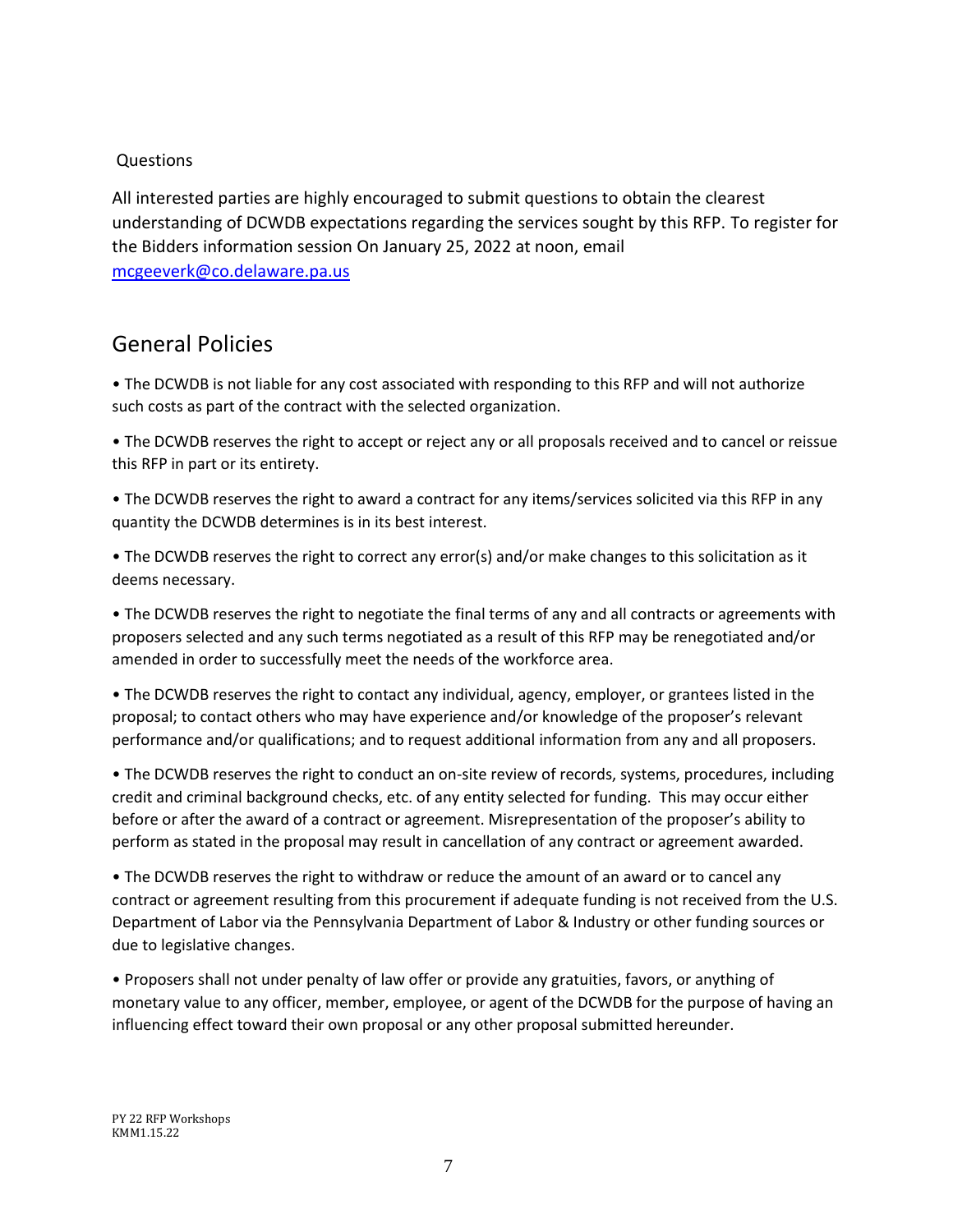#### **Questions**

All interested parties are highly encouraged to submit questions to obtain the clearest understanding of DCWDB expectations regarding the services sought by this RFP. To register for the Bidders information session On January 25, 2022 at noon, email [mcgeeverk@co.delaware.pa.us](mailto:mcgeeverk@co.delaware.pa.us)

## General Policies

• The DCWDB is not liable for any cost associated with responding to this RFP and will not authorize such costs as part of the contract with the selected organization.

• The DCWDB reserves the right to accept or reject any or all proposals received and to cancel or reissue this RFP in part or its entirety.

• The DCWDB reserves the right to award a contract for any items/services solicited via this RFP in any quantity the DCWDB determines is in its best interest.

• The DCWDB reserves the right to correct any error(s) and/or make changes to this solicitation as it deems necessary.

• The DCWDB reserves the right to negotiate the final terms of any and all contracts or agreements with proposers selected and any such terms negotiated as a result of this RFP may be renegotiated and/or amended in order to successfully meet the needs of the workforce area.

• The DCWDB reserves the right to contact any individual, agency, employer, or grantees listed in the proposal; to contact others who may have experience and/or knowledge of the proposer's relevant performance and/or qualifications; and to request additional information from any and all proposers.

• The DCWDB reserves the right to conduct an on-site review of records, systems, procedures, including credit and criminal background checks, etc. of any entity selected for funding. This may occur either before or after the award of a contract or agreement. Misrepresentation of the proposer's ability to perform as stated in the proposal may result in cancellation of any contract or agreement awarded.

• The DCWDB reserves the right to withdraw or reduce the amount of an award or to cancel any contract or agreement resulting from this procurement if adequate funding is not received from the U.S. Department of Labor via the Pennsylvania Department of Labor & Industry or other funding sources or due to legislative changes.

• Proposers shall not under penalty of law offer or provide any gratuities, favors, or anything of monetary value to any officer, member, employee, or agent of the DCWDB for the purpose of having an influencing effect toward their own proposal or any other proposal submitted hereunder.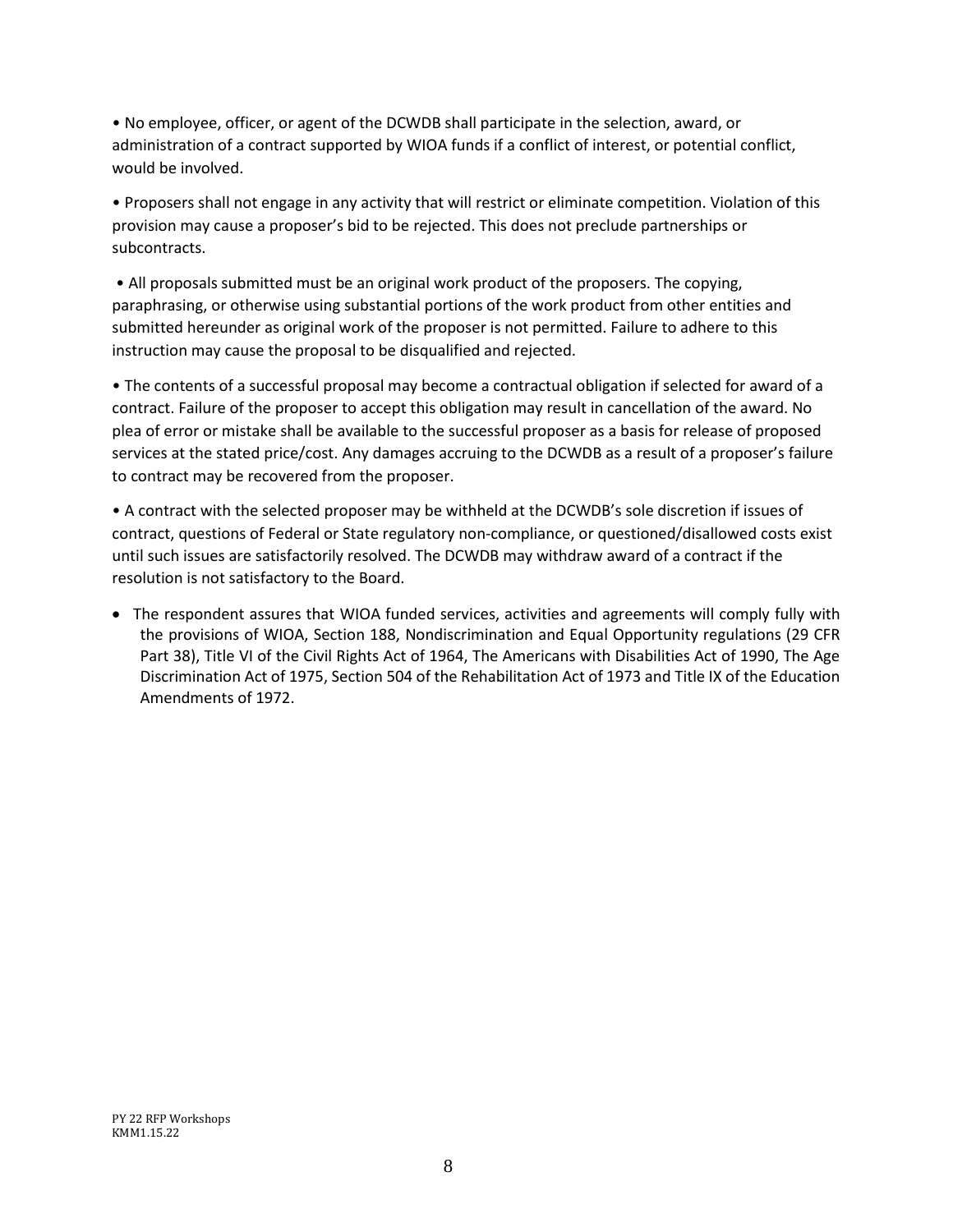• No employee, officer, or agent of the DCWDB shall participate in the selection, award, or administration of a contract supported by WIOA funds if a conflict of interest, or potential conflict, would be involved.

• Proposers shall not engage in any activity that will restrict or eliminate competition. Violation of this provision may cause a proposer's bid to be rejected. This does not preclude partnerships or subcontracts.

• All proposals submitted must be an original work product of the proposers. The copying, paraphrasing, or otherwise using substantial portions of the work product from other entities and submitted hereunder as original work of the proposer is not permitted. Failure to adhere to this instruction may cause the proposal to be disqualified and rejected.

• The contents of a successful proposal may become a contractual obligation if selected for award of a contract. Failure of the proposer to accept this obligation may result in cancellation of the award. No plea of error or mistake shall be available to the successful proposer as a basis for release of proposed services at the stated price/cost. Any damages accruing to the DCWDB as a result of a proposer's failure to contract may be recovered from the proposer.

• A contract with the selected proposer may be withheld at the DCWDB's sole discretion if issues of contract, questions of Federal or State regulatory non-compliance, or questioned/disallowed costs exist until such issues are satisfactorily resolved. The DCWDB may withdraw award of a contract if the resolution is not satisfactory to the Board.

• The respondent assures that WIOA funded services, activities and agreements will comply fully with the provisions of WIOA, Section 188, Nondiscrimination and Equal Opportunity regulations (29 CFR Part 38), Title VI of the Civil Rights Act of 1964, The Americans with Disabilities Act of 1990, The Age Discrimination Act of 1975, Section 504 of the Rehabilitation Act of 1973 and Title IX of the Education Amendments of 1972.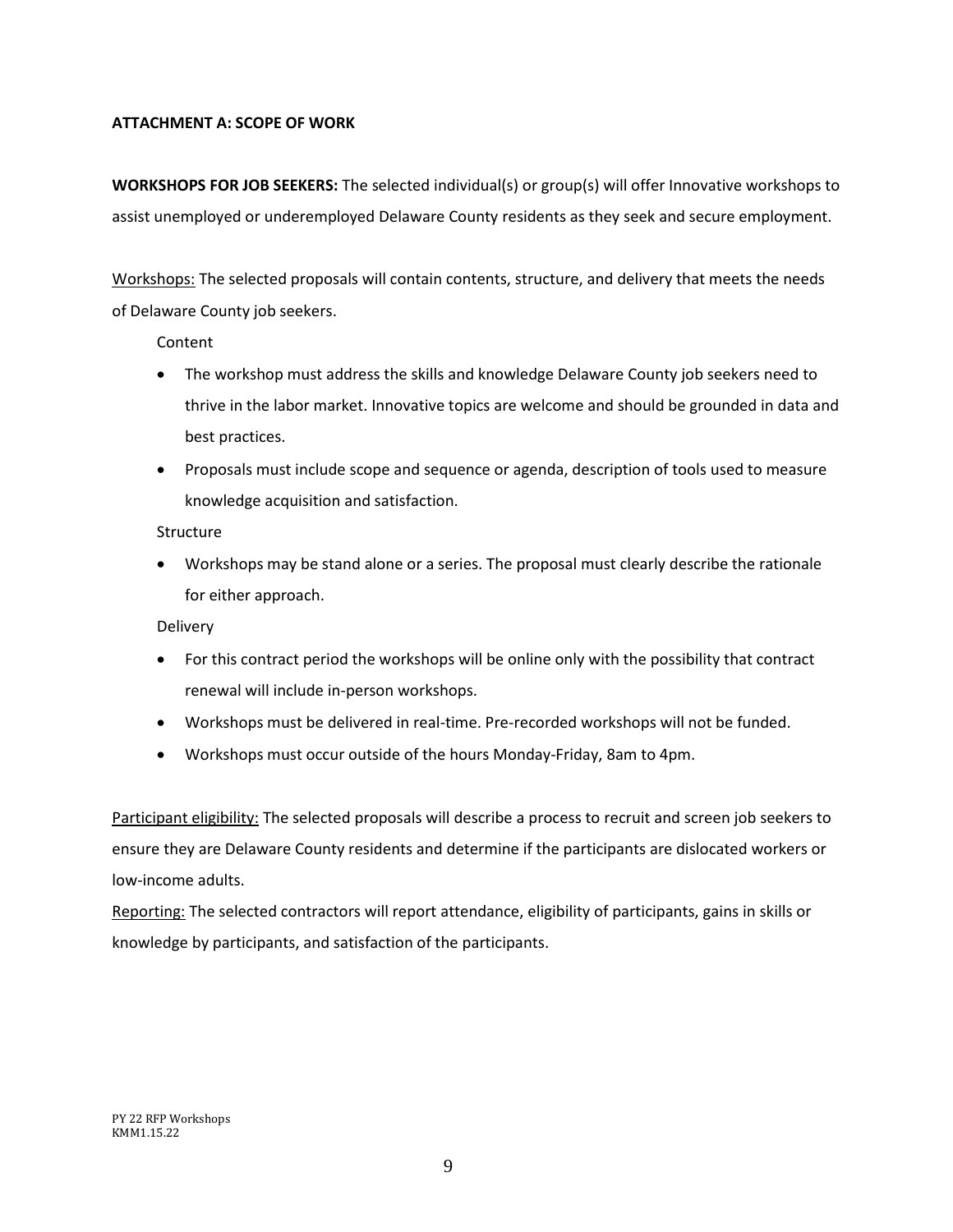#### **ATTACHMENT A: SCOPE OF WORK**

**WORKSHOPS FOR JOB SEEKERS:** The selected individual(s) or group(s) will offer Innovative workshops to assist unemployed or underemployed Delaware County residents as they seek and secure employment.

Workshops: The selected proposals will contain contents, structure, and delivery that meets the needs of Delaware County job seekers.

Content

- The workshop must address the skills and knowledge Delaware County job seekers need to thrive in the labor market. Innovative topics are welcome and should be grounded in data and best practices.
- Proposals must include scope and sequence or agenda, description of tools used to measure knowledge acquisition and satisfaction.

#### Structure

• Workshops may be stand alone or a series. The proposal must clearly describe the rationale for either approach.

Delivery

- For this contract period the workshops will be online only with the possibility that contract renewal will include in-person workshops.
- Workshops must be delivered in real-time. Pre-recorded workshops will not be funded.
- Workshops must occur outside of the hours Monday-Friday, 8am to 4pm.

Participant eligibility: The selected proposals will describe a process to recruit and screen job seekers to ensure they are Delaware County residents and determine if the participants are dislocated workers or low-income adults.

Reporting: The selected contractors will report attendance, eligibility of participants, gains in skills or knowledge by participants, and satisfaction of the participants.